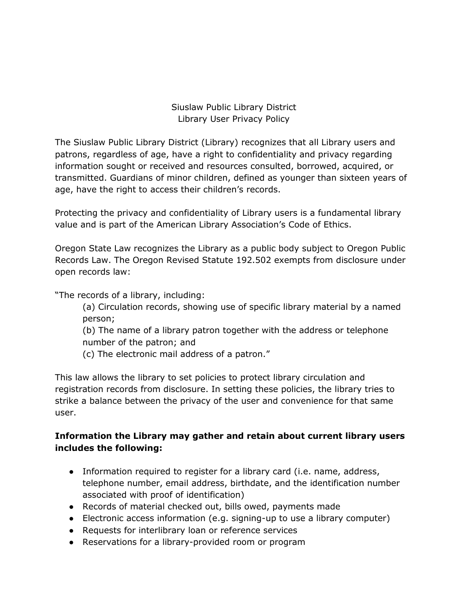Siuslaw Public Library District Library User Privacy Policy

The Siuslaw Public Library District (Library) recognizes that all Library users and patrons, regardless of age, have a right to confidentiality and privacy regarding information sought or received and resources consulted, borrowed, acquired, or transmitted. Guardians of minor children, defined as younger than sixteen years of age, have the right to access their children's records.

Protecting the privacy and confidentiality of Library users is a fundamental library value and is part of the American Library Association's Code of Ethics.

Oregon State Law recognizes the Library as a public body subject to Oregon Public Records Law. The Oregon Revised Statute 192.502 exempts from disclosure under open records law:

"The records of a library, including:

(a) Circulation records, showing use of specific library material by a named person;

(b) The name of a library patron together with the address or telephone number of the patron; and

(c) The electronic mail address of a patron."

This law allows the library to set policies to protect library circulation and registration records from disclosure. In setting these policies, the library tries to strike a balance between the privacy of the user and convenience for that same user.

## **Information the Library may gather and retain about current library users includes the following:**

- Information required to register for a library card (i.e. name, address, telephone number, email address, birthdate, and the identification number associated with proof of identification)
- Records of material checked out, bills owed, payments made
- Electronic access information (e.g. signing-up to use a library computer)
- Requests for interlibrary loan or reference services
- Reservations for a library-provided room or program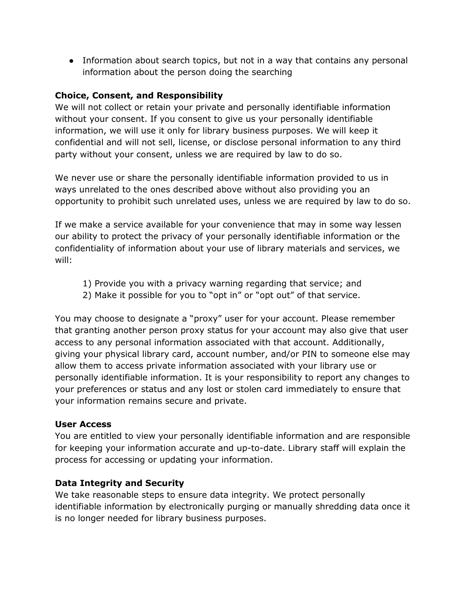• Information about search topics, but not in a way that contains any personal information about the person doing the searching

### **Choice, Consent, and Responsibility**

We will not collect or retain your private and personally identifiable information without your consent. If you consent to give us your personally identifiable information, we will use it only for library business purposes. We will keep it confidential and will not sell, license, or disclose personal information to any third party without your consent, unless we are required by law to do so.

We never use or share the personally identifiable information provided to us in ways unrelated to the ones described above without also providing you an opportunity to prohibit such unrelated uses, unless we are required by law to do so.

If we make a service available for your convenience that may in some way lessen our ability to protect the privacy of your personally identifiable information or the confidentiality of information about your use of library materials and services, we will:

- 1) Provide you with a privacy warning regarding that service; and
- 2) Make it possible for you to "opt in" or "opt out" of that service.

You may choose to designate a "proxy" user for your account. Please remember that granting another person proxy status for your account may also give that user access to any personal information associated with that account. Additionally, giving your physical library card, account number, and/or PIN to someone else may allow them to access private information associated with your library use or personally identifiable information. It is your responsibility to report any changes to your preferences or status and any lost or stolen card immediately to ensure that your information remains secure and private.

#### **User Access**

You are entitled to view your personally identifiable information and are responsible for keeping your information accurate and up-to-date. Library staff will explain the process for accessing or updating your information.

#### **Data Integrity and Security**

We take reasonable steps to ensure data integrity. We protect personally identifiable information by electronically purging or manually shredding data once it is no longer needed for library business purposes.